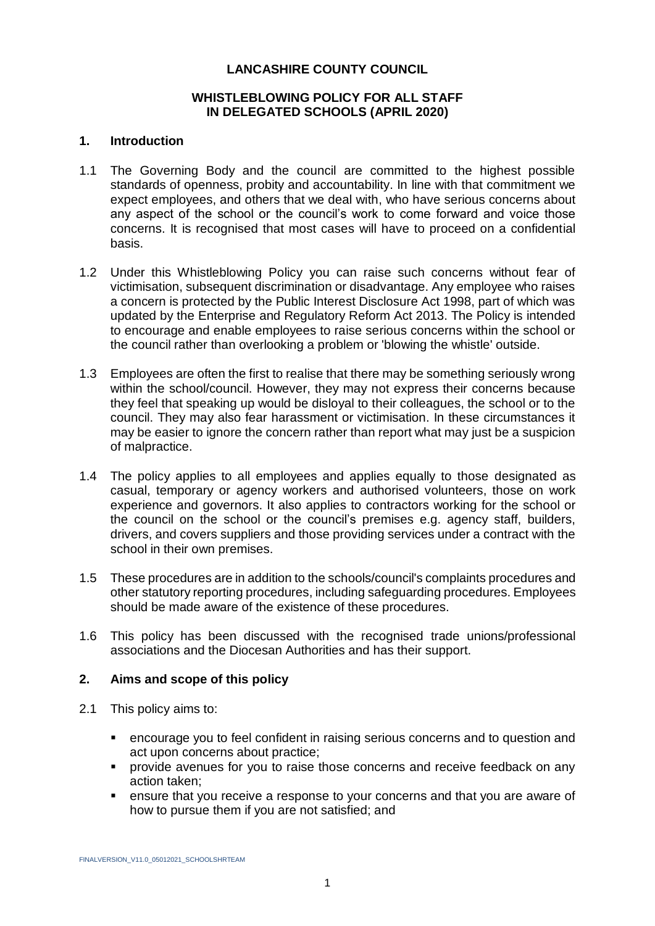### **LANCASHIRE COUNTY COUNCIL**

### **WHISTLEBLOWING POLICY FOR ALL STAFF IN DELEGATED SCHOOLS (APRIL 2020)**

#### **1. Introduction**

- 1.1 The Governing Body and the council are committed to the highest possible standards of openness, probity and accountability. In line with that commitment we expect employees, and others that we deal with, who have serious concerns about any aspect of the school or the council's work to come forward and voice those concerns. It is recognised that most cases will have to proceed on a confidential basis.
- 1.2 Under this Whistleblowing Policy you can raise such concerns without fear of victimisation, subsequent discrimination or disadvantage. Any employee who raises a concern is protected by the Public Interest Disclosure Act 1998, part of which was updated by the Enterprise and Regulatory Reform Act 2013. The Policy is intended to encourage and enable employees to raise serious concerns within the school or the council rather than overlooking a problem or 'blowing the whistle' outside.
- 1.3 Employees are often the first to realise that there may be something seriously wrong within the school/council. However, they may not express their concerns because they feel that speaking up would be disloyal to their colleagues, the school or to the council. They may also fear harassment or victimisation. In these circumstances it may be easier to ignore the concern rather than report what may just be a suspicion of malpractice.
- 1.4 The policy applies to all employees and applies equally to those designated as casual, temporary or agency workers and authorised volunteers, those on work experience and governors. It also applies to contractors working for the school or the council on the school or the council's premises e.g. agency staff, builders, drivers, and covers suppliers and those providing services under a contract with the school in their own premises.
- 1.5 These procedures are in addition to the schools/council's complaints procedures and other statutory reporting procedures, including safeguarding procedures. Employees should be made aware of the existence of these procedures.
- 1.6 This policy has been discussed with the recognised trade unions/professional associations and the Diocesan Authorities and has their support.

### **2. Aims and scope of this policy**

- 2.1 This policy aims to:
	- encourage you to feel confident in raising serious concerns and to question and act upon concerns about practice;
	- provide avenues for you to raise those concerns and receive feedback on any action taken;
	- ensure that you receive a response to your concerns and that you are aware of how to pursue them if you are not satisfied; and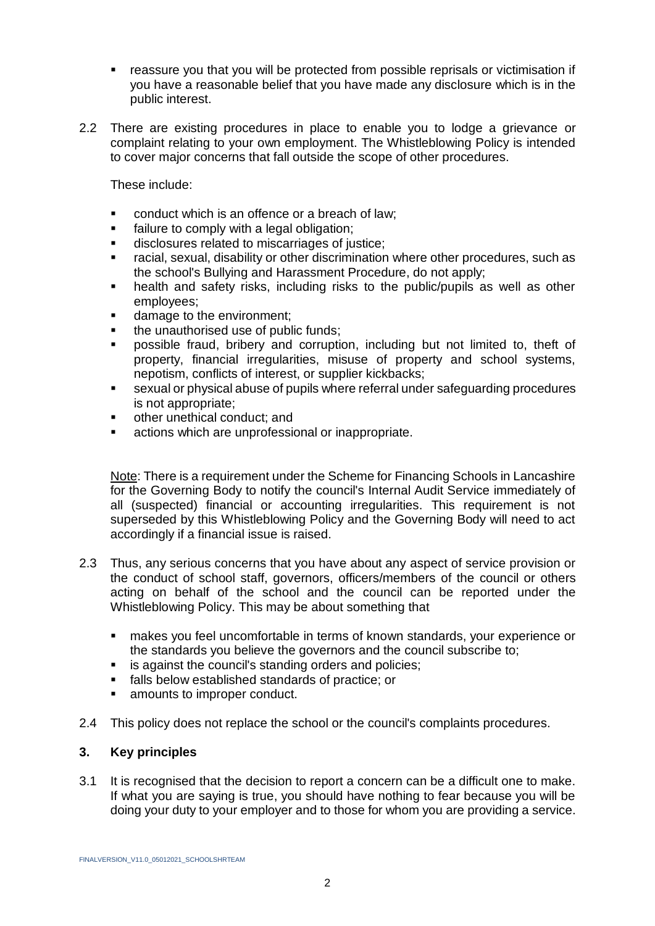- reassure you that you will be protected from possible reprisals or victimisation if you have a reasonable belief that you have made any disclosure which is in the public interest.
- 2.2 There are existing procedures in place to enable you to lodge a grievance or complaint relating to your own employment. The Whistleblowing Policy is intended to cover major concerns that fall outside the scope of other procedures.

These include:

- conduct which is an offence or a breach of law;
- failure to comply with a legal obligation;
- disclosures related to miscarriages of justice;
- racial, sexual, disability or other discrimination where other procedures, such as the school's Bullying and Harassment Procedure, do not apply;
- health and safety risks, including risks to the public/pupils as well as other employees;
- damage to the environment;
- the unauthorised use of public funds;
- possible fraud, bribery and corruption, including but not limited to, theft of property, financial irregularities, misuse of property and school systems, nepotism, conflicts of interest, or supplier kickbacks;
- sexual or physical abuse of pupils where referral under safeguarding procedures is not appropriate;
- other unethical conduct; and
- actions which are unprofessional or inappropriate.

Note: There is a requirement under the Scheme for Financing Schools in Lancashire for the Governing Body to notify the council's Internal Audit Service immediately of all (suspected) financial or accounting irregularities. This requirement is not superseded by this Whistleblowing Policy and the Governing Body will need to act accordingly if a financial issue is raised.

- 2.3 Thus, any serious concerns that you have about any aspect of service provision or the conduct of school staff, governors, officers/members of the council or others acting on behalf of the school and the council can be reported under the Whistleblowing Policy. This may be about something that
	- makes you feel uncomfortable in terms of known standards, your experience or the standards you believe the governors and the council subscribe to;
	- **EXECT:** is against the council's standing orders and policies;
	- falls below established standards of practice; or
	- **EXECUTE:** amounts to improper conduct.
- 2.4 This policy does not replace the school or the council's complaints procedures.

### **3. Key principles**

3.1 It is recognised that the decision to report a concern can be a difficult one to make. If what you are saying is true, you should have nothing to fear because you will be doing your duty to your employer and to those for whom you are providing a service.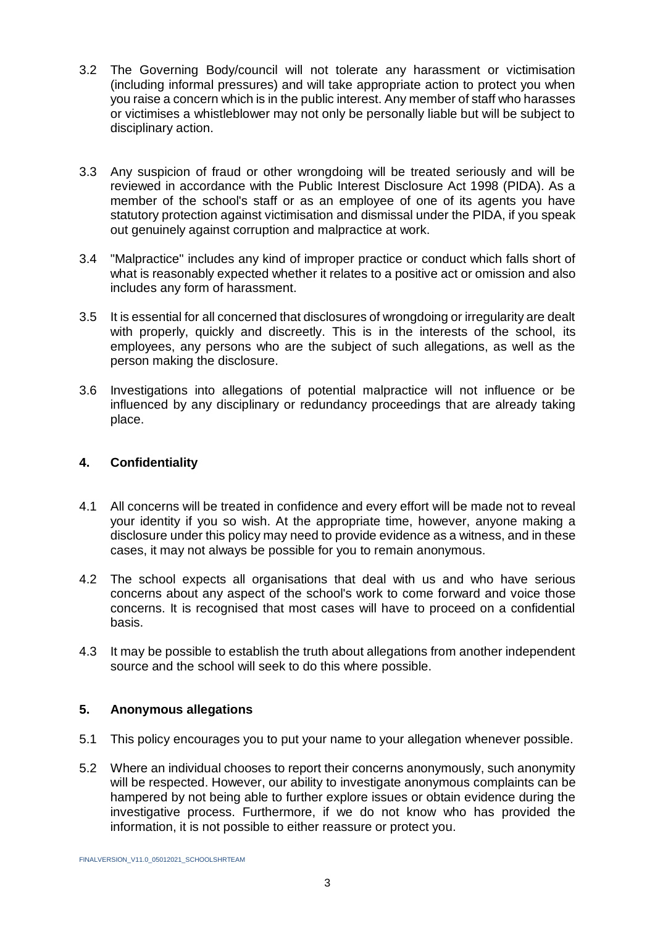- 3.2 The Governing Body/council will not tolerate any harassment or victimisation (including informal pressures) and will take appropriate action to protect you when you raise a concern which is in the public interest. Any member of staff who harasses or victimises a whistleblower may not only be personally liable but will be subject to disciplinary action.
- 3.3 Any suspicion of fraud or other wrongdoing will be treated seriously and will be reviewed in accordance with the Public Interest Disclosure Act 1998 (PIDA). As a member of the school's staff or as an employee of one of its agents you have statutory protection against victimisation and dismissal under the PIDA, if you speak out genuinely against corruption and malpractice at work.
- 3.4 "Malpractice" includes any kind of improper practice or conduct which falls short of what is reasonably expected whether it relates to a positive act or omission and also includes any form of harassment.
- 3.5 It is essential for all concerned that disclosures of wrongdoing or irregularity are dealt with properly, quickly and discreetly. This is in the interests of the school, its employees, any persons who are the subject of such allegations, as well as the person making the disclosure.
- 3.6 Investigations into allegations of potential malpractice will not influence or be influenced by any disciplinary or redundancy proceedings that are already taking place.

# **4. Confidentiality**

- 4.1 All concerns will be treated in confidence and every effort will be made not to reveal your identity if you so wish. At the appropriate time, however, anyone making a disclosure under this policy may need to provide evidence as a witness, and in these cases, it may not always be possible for you to remain anonymous.
- 4.2 The school expects all organisations that deal with us and who have serious concerns about any aspect of the school's work to come forward and voice those concerns. It is recognised that most cases will have to proceed on a confidential basis.
- 4.3 It may be possible to establish the truth about allegations from another independent source and the school will seek to do this where possible.

## **5. Anonymous allegations**

- 5.1 This policy encourages you to put your name to your allegation whenever possible.
- 5.2 Where an individual chooses to report their concerns anonymously, such anonymity will be respected. However, our ability to investigate anonymous complaints can be hampered by not being able to further explore issues or obtain evidence during the investigative process. Furthermore, if we do not know who has provided the information, it is not possible to either reassure or protect you.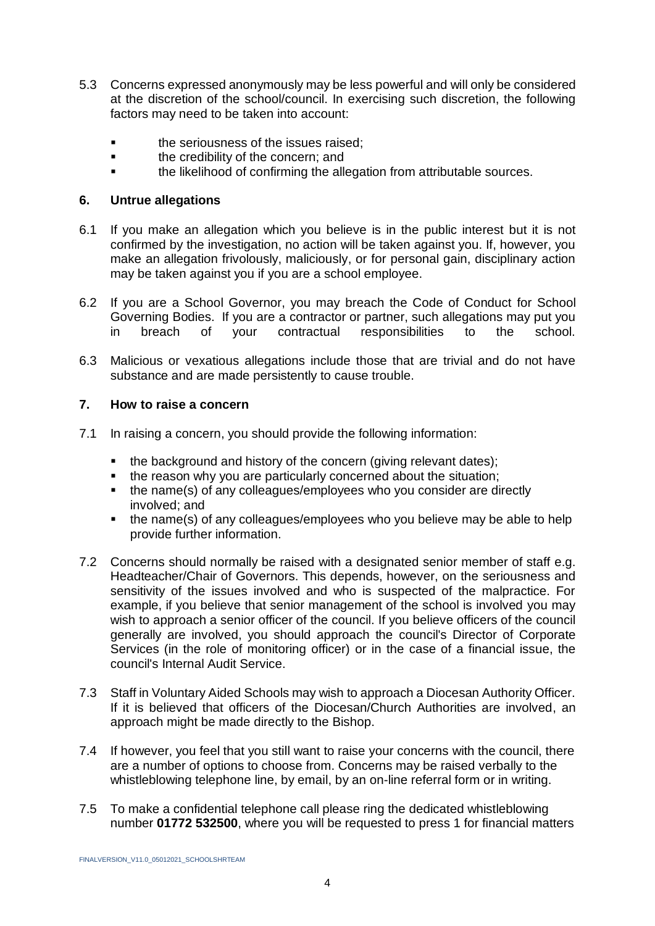- 5.3 Concerns expressed anonymously may be less powerful and will only be considered at the discretion of the school/council. In exercising such discretion, the following factors may need to be taken into account:
	- the seriousness of the issues raised;
	- **the credibility of the concern; and**
	- the likelihood of confirming the allegation from attributable sources.

### **6. Untrue allegations**

- 6.1 If you make an allegation which you believe is in the public interest but it is not confirmed by the investigation, no action will be taken against you. If, however, you make an allegation frivolously, maliciously, or for personal gain, disciplinary action may be taken against you if you are a school employee.
- 6.2 If you are a School Governor, you may breach the Code of Conduct for School Governing Bodies. If you are a contractor or partner, such allegations may put you in breach of your contractual responsibilities to the school.
- 6.3 Malicious or vexatious allegations include those that are trivial and do not have substance and are made persistently to cause trouble.

## **7. How to raise a concern**

- 7.1 In raising a concern, you should provide the following information:
	- the background and history of the concern (giving relevant dates);
	- the reason why you are particularly concerned about the situation:
	- the name(s) of any colleagues/employees who you consider are directly involved; and
	- the name(s) of any colleagues/employees who you believe may be able to help provide further information.
- 7.2 Concerns should normally be raised with a designated senior member of staff e.g. Headteacher/Chair of Governors. This depends, however, on the seriousness and sensitivity of the issues involved and who is suspected of the malpractice. For example, if you believe that senior management of the school is involved you may wish to approach a senior officer of the council. If you believe officers of the council generally are involved, you should approach the council's Director of Corporate Services (in the role of monitoring officer) or in the case of a financial issue, the council's Internal Audit Service.
- 7.3 Staff in Voluntary Aided Schools may wish to approach a Diocesan Authority Officer. If it is believed that officers of the Diocesan/Church Authorities are involved, an approach might be made directly to the Bishop.
- 7.4 If however, you feel that you still want to raise your concerns with the council, there are a number of options to choose from. Concerns may be raised verbally to the whistleblowing telephone line, by email, by an on-line referral form or in writing.
- 7.5 To make a confidential telephone call please ring the dedicated whistleblowing number **01772 532500**, where you will be requested to press 1 for financial matters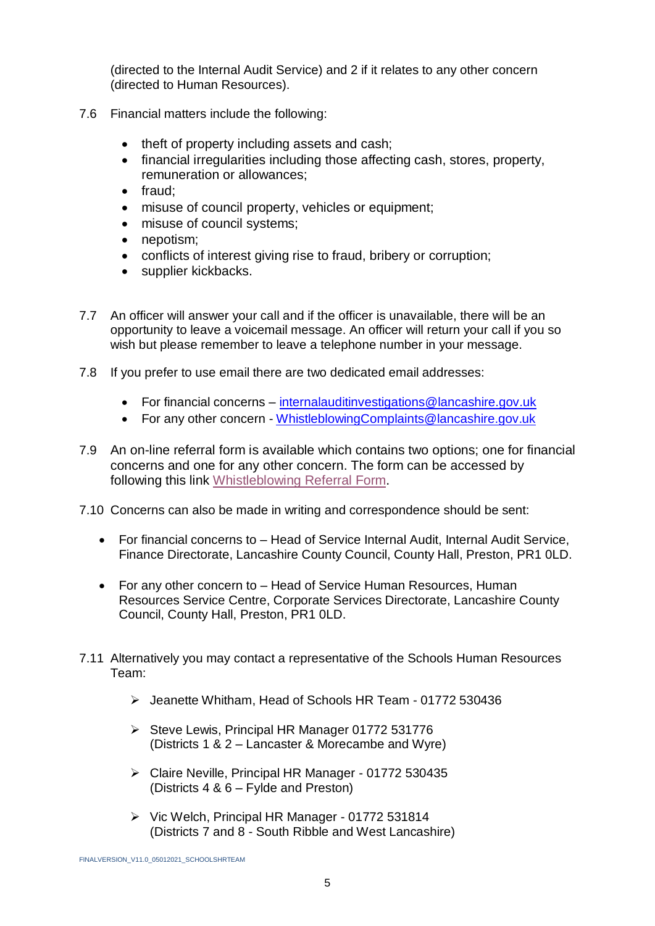(directed to the Internal Audit Service) and 2 if it relates to any other concern (directed to Human Resources).

- 7.6 Financial matters include the following:
	- theft of property including assets and cash;
	- financial irregularities including those affecting cash, stores, property, remuneration or allowances;
	- $\bullet$  fraud:
	- misuse of council property, vehicles or equipment;
	- misuse of council systems:
	- nepotism:
	- conflicts of interest giving rise to fraud, bribery or corruption;
	- supplier kickbacks.
- 7.7 An officer will answer your call and if the officer is unavailable, there will be an opportunity to leave a voicemail message. An officer will return your call if you so wish but please remember to leave a telephone number in your message.
- 7.8 If you prefer to use email there are two dedicated email addresses:
	- For financial concerns [internalauditinvestigations@lancashire.gov.uk](mailto:internalauditinvestigations@lancashire.gov.uk)
	- For any other concern [WhistleblowingComplaints@lancashire.gov.uk](mailto:WhistleblowingComplaints@lancashire.gov.uk)
- 7.9 An on-line referral form is available which contains two options; one for financial concerns and one for any other concern. The form can be accessed by following this link [Whistleblowing Referral Form.](https://lancashire-self.achieveservice.com/service/Whistle_Blowing_Referral)
- 7.10 Concerns can also be made in writing and correspondence should be sent:
	- For financial concerns to Head of Service Internal Audit, Internal Audit Service, Finance Directorate, Lancashire County Council, County Hall, Preston, PR1 0LD.
	- For any other concern to Head of Service Human Resources, Human Resources Service Centre, Corporate Services Directorate, Lancashire County Council, County Hall, Preston, PR1 0LD.
- 7.11 Alternatively you may contact a representative of the Schools Human Resources Team:
	- Jeanette Whitham, Head of Schools HR Team 01772 530436
	- $\triangleright$  Steve Lewis, Principal HR Manager 01772 531776 (Districts 1 & 2 – Lancaster & Morecambe and Wyre)
	- Claire Neville, Principal HR Manager 01772 530435 (Districts 4 & 6 – Fylde and Preston)
	- Vic Welch, Principal HR Manager 01772 531814 (Districts 7 and 8 - South Ribble and West Lancashire)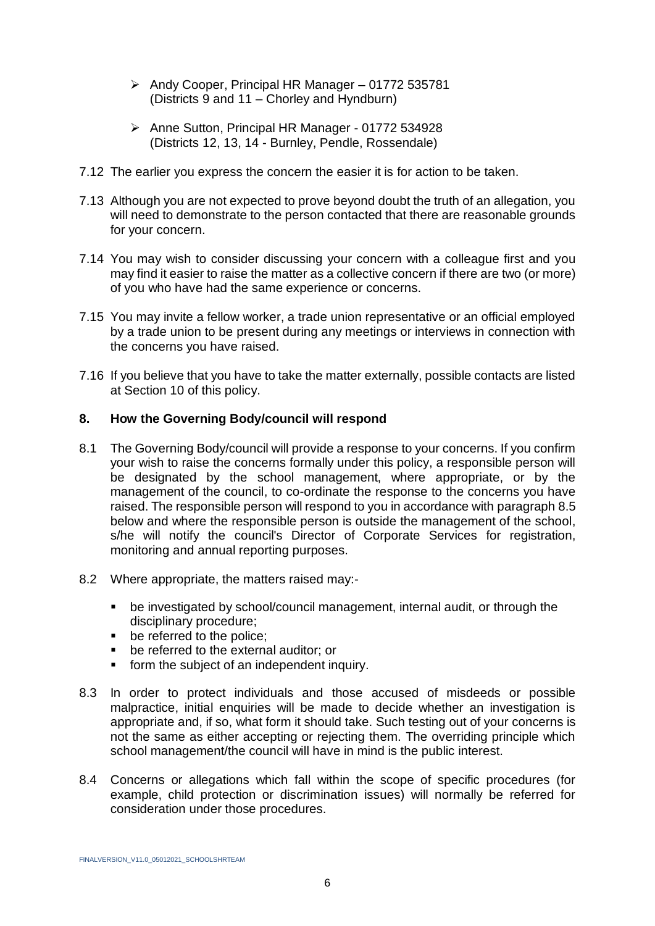- ▶ Andy Cooper, Principal HR Manager 01772 535781 (Districts 9 and 11 – Chorley and Hyndburn)
- Anne Sutton, Principal HR Manager 01772 534928 (Districts 12, 13, 14 - Burnley, Pendle, Rossendale)
- 7.12 The earlier you express the concern the easier it is for action to be taken.
- 7.13 Although you are not expected to prove beyond doubt the truth of an allegation, you will need to demonstrate to the person contacted that there are reasonable grounds for your concern.
- 7.14 You may wish to consider discussing your concern with a colleague first and you may find it easier to raise the matter as a collective concern if there are two (or more) of you who have had the same experience or concerns.
- 7.15 You may invite a fellow worker, a trade union representative or an official employed by a trade union to be present during any meetings or interviews in connection with the concerns you have raised.
- 7.16 If you believe that you have to take the matter externally, possible contacts are listed at Section 10 of this policy.

## **8. How the Governing Body/council will respond**

- 8.1 The Governing Body/council will provide a response to your concerns. If you confirm your wish to raise the concerns formally under this policy, a responsible person will be designated by the school management, where appropriate, or by the management of the council, to co-ordinate the response to the concerns you have raised. The responsible person will respond to you in accordance with paragraph 8.5 below and where the responsible person is outside the management of the school, s/he will notify the council's Director of Corporate Services for registration, monitoring and annual reporting purposes.
- 8.2 Where appropriate, the matters raised may:
	- be investigated by school/council management, internal audit, or through the disciplinary procedure;
	- **•** be referred to the police:
	- be referred to the external auditor; or
	- **form the subject of an independent inquiry.**
- 8.3 In order to protect individuals and those accused of misdeeds or possible malpractice, initial enquiries will be made to decide whether an investigation is appropriate and, if so, what form it should take. Such testing out of your concerns is not the same as either accepting or rejecting them. The overriding principle which school management/the council will have in mind is the public interest.
- 8.4 Concerns or allegations which fall within the scope of specific procedures (for example, child protection or discrimination issues) will normally be referred for consideration under those procedures.

FINALVERSION\_V11.0\_05012021\_SCHOOLSHRTEAM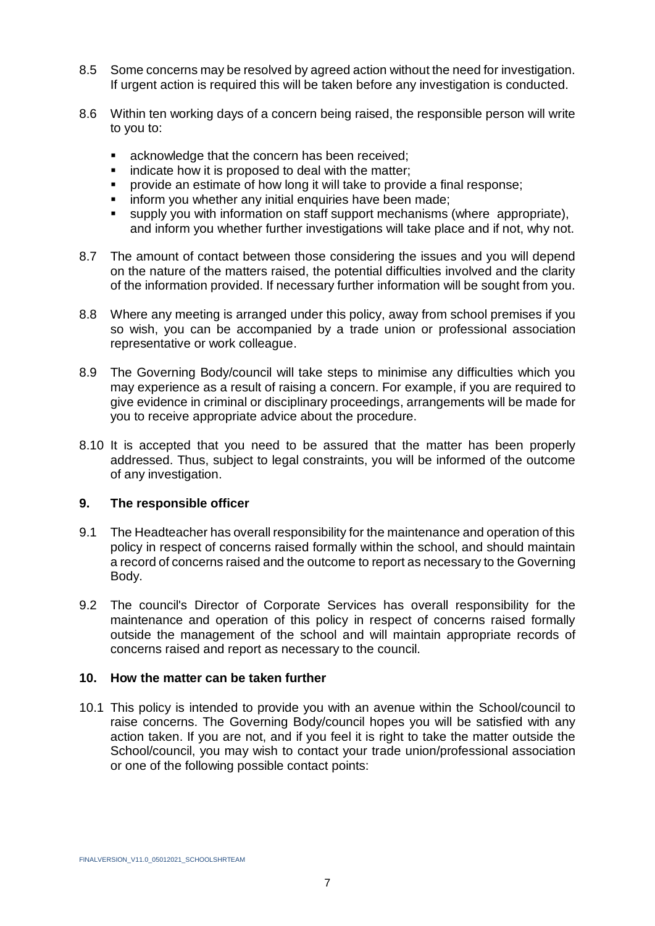- 8.5 Some concerns may be resolved by agreed action without the need for investigation. If urgent action is required this will be taken before any investigation is conducted.
- 8.6 Within ten working days of a concern being raised, the responsible person will write to you to:
	- **EXEC** acknowledge that the concern has been received;
	- indicate how it is proposed to deal with the matter;
	- provide an estimate of how long it will take to provide a final response;
	- inform you whether any initial enquiries have been made;
	- supply you with information on staff support mechanisms (where appropriate), and inform you whether further investigations will take place and if not, why not.
- 8.7 The amount of contact between those considering the issues and you will depend on the nature of the matters raised, the potential difficulties involved and the clarity of the information provided. If necessary further information will be sought from you.
- 8.8 Where any meeting is arranged under this policy, away from school premises if you so wish, you can be accompanied by a trade union or professional association representative or work colleague.
- 8.9 The Governing Body/council will take steps to minimise any difficulties which you may experience as a result of raising a concern. For example, if you are required to give evidence in criminal or disciplinary proceedings, arrangements will be made for you to receive appropriate advice about the procedure.
- 8.10 It is accepted that you need to be assured that the matter has been properly addressed. Thus, subject to legal constraints, you will be informed of the outcome of any investigation.

### **9. The responsible officer**

- 9.1 The Headteacher has overall responsibility for the maintenance and operation of this policy in respect of concerns raised formally within the school, and should maintain a record of concerns raised and the outcome to report as necessary to the Governing Body.
- 9.2 The council's Director of Corporate Services has overall responsibility for the maintenance and operation of this policy in respect of concerns raised formally outside the management of the school and will maintain appropriate records of concerns raised and report as necessary to the council.

### **10. How the matter can be taken further**

10.1 This policy is intended to provide you with an avenue within the School/council to raise concerns. The Governing Body/council hopes you will be satisfied with any action taken. If you are not, and if you feel it is right to take the matter outside the School/council, you may wish to contact your trade union/professional association or one of the following possible contact points: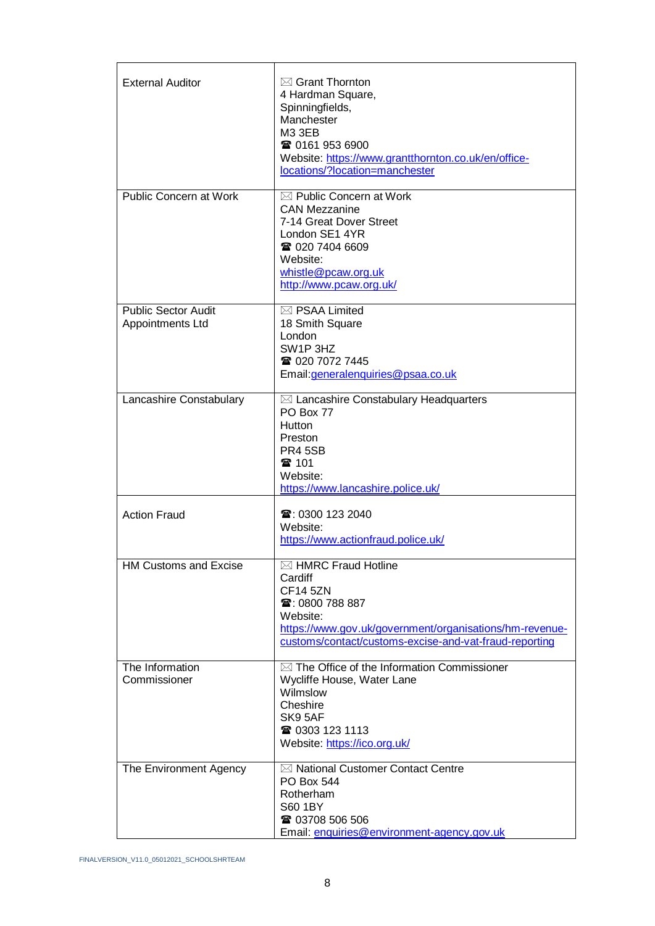| <b>External Auditor</b>                        | $\boxtimes$ Grant Thornton<br>4 Hardman Square,<br>Spinningfields,<br>Manchester<br><b>M3 3EB</b><br>☎ 0161 953 6900<br>Website: https://www.grantthornton.co.uk/en/office-<br>locations/?location=manchester    |
|------------------------------------------------|------------------------------------------------------------------------------------------------------------------------------------------------------------------------------------------------------------------|
| <b>Public Concern at Work</b>                  | $\boxtimes$ Public Concern at Work<br><b>CAN Mezzanine</b><br>7-14 Great Dover Street<br>London SE1 4YR<br>☎ 020 7404 6609<br>Website:<br>whistle@pcaw.org.uk<br>http://www.pcaw.org.uk/                         |
| <b>Public Sector Audit</b><br>Appointments Ltd | $\boxtimes$ PSAA Limited<br>18 Smith Square<br>London<br>SW <sub>1</sub> P 3HZ<br>☎ 020 7072 7445<br>Email: generalenquiries@psaa.co.uk                                                                          |
| Lancashire Constabulary                        | $\boxtimes$ Lancashire Constabulary Headquarters<br>PO Box 77<br><b>Hutton</b><br>Preston<br><b>PR4 5SB</b><br>雷 101<br>Website:<br>https://www.lancashire.police.uk/                                            |
| <b>Action Fraud</b>                            | ☎: 0300 123 2040<br>Website:<br>https://www.actionfraud.police.uk/                                                                                                                                               |
| <b>HM Customs and Excise</b>                   | $\boxtimes$ HMRC Fraud Hotline<br>Cardiff<br><b>CF14 5ZN</b><br>☎: 0800 788 887<br>Website:<br>https://www.gov.uk/government/organisations/hm-revenue-<br>customs/contact/customs-excise-and-vat-fraud-reporting |
| The Information<br>Commissioner                | $\boxtimes$ The Office of the Information Commissioner<br>Wycliffe House, Water Lane<br>Wilmslow<br>Cheshire<br>SK9 5AF<br>☎ 0303 123 1113<br>Website: https://ico.org.uk/                                       |
| The Environment Agency                         | ⊠ National Customer Contact Centre<br>PO Box 544<br>Rotherham<br>S60 1BY<br>☎ 03708 506 506<br>Email: enquiries@environment-agency.gov.uk                                                                        |

FINALVERSION\_V11.0\_05012021\_SCHOOLSHRTEAM